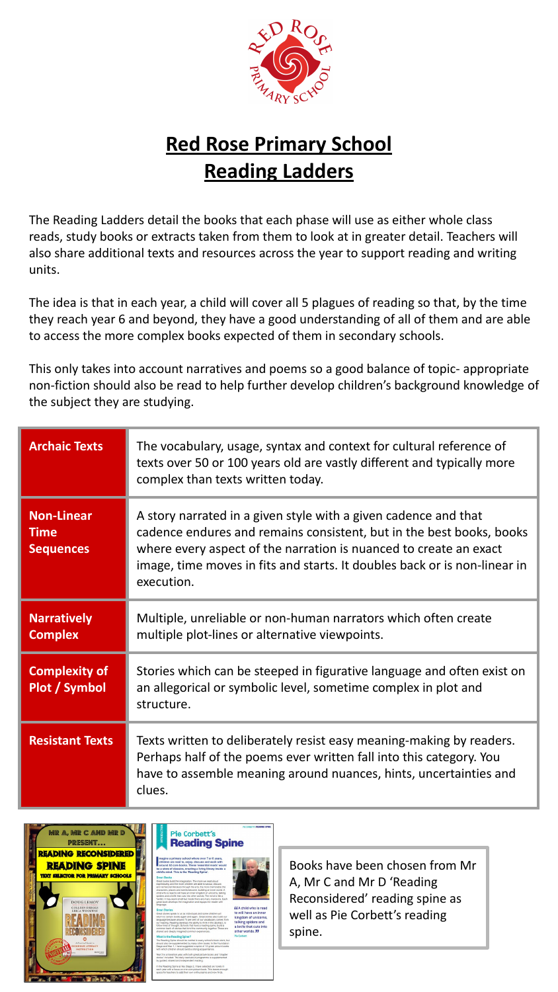

## **Red Rose Primary School Reading Ladders**

The Reading Ladders detail the books that each phase will use as either whole class reads, study books or extracts taken from them to look at in greater detail. Teachers will also share additional texts and resources across the year to support reading and writing units.

The idea is that in each year, a child will cover all 5 plagues of reading so that, by the time they reach year 6 and beyond, they have a good understanding of all of them and are able to access the more complex books expected of them in secondary schools.

This only takes into account narratives and poems so a good balance of topic- appropriate non-fiction should also be read to help further develop children's background knowledge of the subject they are studying.

| <b>Archaic Texts</b>                                 | The vocabulary, usage, syntax and context for cultural reference of<br>texts over 50 or 100 years old are vastly different and typically more<br>complex than texts written today.                                                                                                                      |
|------------------------------------------------------|---------------------------------------------------------------------------------------------------------------------------------------------------------------------------------------------------------------------------------------------------------------------------------------------------------|
| <b>Non-Linear</b><br><b>Time</b><br><b>Sequences</b> | A story narrated in a given style with a given cadence and that<br>cadence endures and remains consistent, but in the best books, books<br>where every aspect of the narration is nuanced to create an exact<br>image, time moves in fits and starts. It doubles back or is non-linear in<br>execution. |
| <b>Narratively</b><br><b>Complex</b>                 | Multiple, unreliable or non-human narrators which often create<br>multiple plot-lines or alternative viewpoints.                                                                                                                                                                                        |
| <b>Complexity of</b><br>Plot / Symbol                | Stories which can be steeped in figurative language and often exist on<br>an allegorical or symbolic level, sometime complex in plot and<br>structure.                                                                                                                                                  |
| <b>Resistant Texts</b>                               | Texts written to deliberately resist easy meaning-making by readers.<br>Perhaps half of the poems ever written fall into this category. You<br>have to assemble meaning around nuances, hints, uncertainties and<br>clues.                                                                              |



## ie Corbett's **Reading Spine**



Books have been chosen from Mr A, Mr C and Mr D 'Reading Reconsidered' reading spine as well as Pie Corbett's reading spine.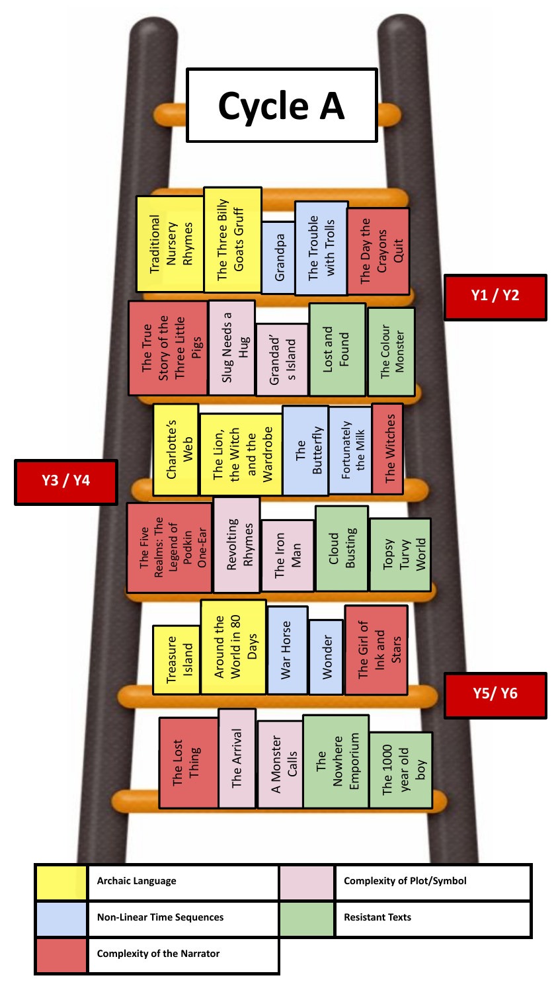